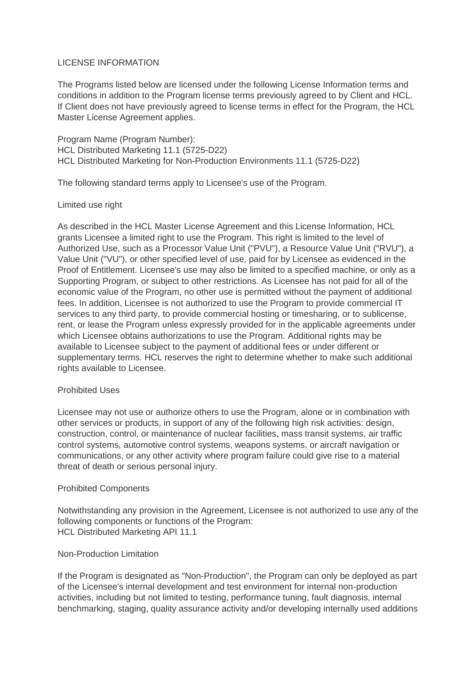## LICENSE INFORMATION

The Programs listed below are licensed under the following License Information terms and conditions in addition to the Program license terms previously agreed to by Client and HCL. If Client does not have previously agreed to license terms in effect for the Program, the HCL Master License Agreement applies.

Program Name (Program Number): HCL Distributed Marketing 11.1 (5725-D22) HCL Distributed Marketing for Non-Production Environments 11.1 (5725-D22)

The following standard terms apply to Licensee's use of the Program.

## Limited use right

As described in the HCL Master License Agreement and this License Information, HCL grants Licensee a limited right to use the Program. This right is limited to the level of Authorized Use, such as a Processor Value Unit ("PVU"), a Resource Value Unit ("RVU"), a Value Unit ("VU"), or other specified level of use, paid for by Licensee as evidenced in the Proof of Entitlement. Licensee's use may also be limited to a specified machine, or only as a Supporting Program, or subject to other restrictions. As Licensee has not paid for all of the economic value of the Program, no other use is permitted without the payment of additional fees. In addition, Licensee is not authorized to use the Program to provide commercial IT services to any third party, to provide commercial hosting or timesharing, or to sublicense, rent, or lease the Program unless expressly provided for in the applicable agreements under which Licensee obtains authorizations to use the Program. Additional rights may be available to Licensee subject to the payment of additional fees or under different or supplementary terms. HCL reserves the right to determine whether to make such additional rights available to Licensee.

# Prohibited Uses

Licensee may not use or authorize others to use the Program, alone or in combination with other services or products, in support of any of the following high risk activities: design, construction, control, or maintenance of nuclear facilities, mass transit systems, air traffic control systems, automotive control systems, weapons systems, or aircraft navigation or communications, or any other activity where program failure could give rise to a material threat of death or serious personal injury.

## Prohibited Components

Notwithstanding any provision in the Agreement, Licensee is not authorized to use any of the following components or functions of the Program: HCL Distributed Marketing API 11.1

## Non-Production Limitation

If the Program is designated as "Non-Production", the Program can only be deployed as part of the Licensee's internal development and test environment for internal non-production activities, including but not limited to testing, performance tuning, fault diagnosis, internal benchmarking, staging, quality assurance activity and/or developing internally used additions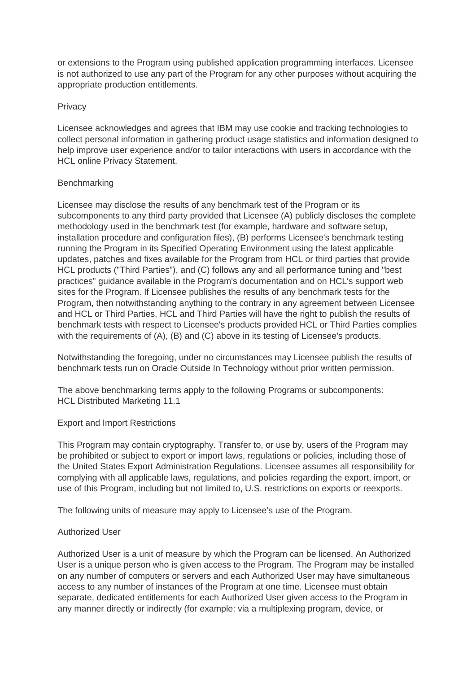or extensions to the Program using published application programming interfaces. Licensee is not authorized to use any part of the Program for any other purposes without acquiring the appropriate production entitlements.

## **Privacy**

Licensee acknowledges and agrees that IBM may use cookie and tracking technologies to collect personal information in gathering product usage statistics and information designed to help improve user experience and/or to tailor interactions with users in accordance with the HCL online Privacy Statement.

## Benchmarking

Licensee may disclose the results of any benchmark test of the Program or its subcomponents to any third party provided that Licensee (A) publicly discloses the complete methodology used in the benchmark test (for example, hardware and software setup, installation procedure and configuration files), (B) performs Licensee's benchmark testing running the Program in its Specified Operating Environment using the latest applicable updates, patches and fixes available for the Program from HCL or third parties that provide HCL products ("Third Parties"), and (C) follows any and all performance tuning and "best practices" guidance available in the Program's documentation and on HCL's support web sites for the Program. If Licensee publishes the results of any benchmark tests for the Program, then notwithstanding anything to the contrary in any agreement between Licensee and HCL or Third Parties, HCL and Third Parties will have the right to publish the results of benchmark tests with respect to Licensee's products provided HCL or Third Parties complies with the requirements of (A), (B) and (C) above in its testing of Licensee's products.

Notwithstanding the foregoing, under no circumstances may Licensee publish the results of benchmark tests run on Oracle Outside In Technology without prior written permission.

The above benchmarking terms apply to the following Programs or subcomponents: HCL Distributed Marketing 11.1

## Export and Import Restrictions

This Program may contain cryptography. Transfer to, or use by, users of the Program may be prohibited or subject to export or import laws, regulations or policies, including those of the United States Export Administration Regulations. Licensee assumes all responsibility for complying with all applicable laws, regulations, and policies regarding the export, import, or use of this Program, including but not limited to, U.S. restrictions on exports or reexports.

The following units of measure may apply to Licensee's use of the Program.

# Authorized User

Authorized User is a unit of measure by which the Program can be licensed. An Authorized User is a unique person who is given access to the Program. The Program may be installed on any number of computers or servers and each Authorized User may have simultaneous access to any number of instances of the Program at one time. Licensee must obtain separate, dedicated entitlements for each Authorized User given access to the Program in any manner directly or indirectly (for example: via a multiplexing program, device, or